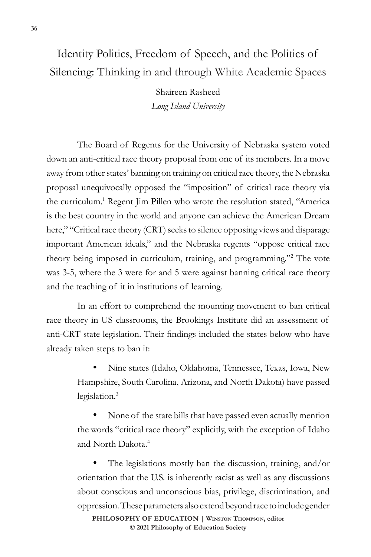## Identity Politics, Freedom of Speech, and the Politics of Silencing: Thinking in and through White Academic Spaces

Shaireen Rasheed *Long Island University*

The Board of Regents for the University of Nebraska system voted down an anti-critical race theory proposal from one of its members. In a move away from other states' banning on training on critical race theory, the Nebraska proposal unequivocally opposed the "imposition" of critical race theory via the curriculum.<sup>1</sup> Regent Jim Pillen who wrote the resolution stated, "America is the best country in the world and anyone can achieve the American Dream here," "Critical race theory (CRT) seeks to silence opposing views and disparage important American ideals," and the Nebraska regents "oppose critical race theory being imposed in curriculum, training, and programming."2 The vote was 3-5, where the 3 were for and 5 were against banning critical race theory and the teaching of it in institutions of learning.

In an effort to comprehend the mounting movement to ban critical race theory in US classrooms, the Brookings Institute did an assessment of anti-CRT state legislation. Their findings included the states below who have already taken steps to ban it:

> Nine states (Idaho, Oklahoma, Tennessee, Texas, Iowa, New Hampshire, South Carolina, Arizona, and North Dakota) have passed legislation.<sup>3</sup>

> None of the state bills that have passed even actually mention the words "critical race theory" explicitly, with the exception of Idaho and North Dakota.4

> The legislations mostly ban the discussion, training, and/or orientation that the U.S. is inherently racist as well as any discussions about conscious and unconscious bias, privilege, discrimination, and oppression. These parameters also extend beyond race to include gender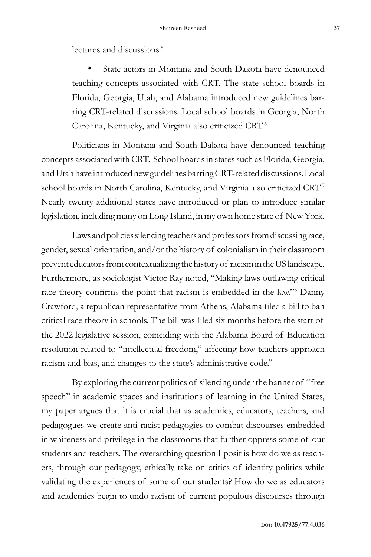lectures and discussions.<sup>5</sup>

State actors in Montana and South Dakota have denounced teaching concepts associated with CRT. The state school boards in Florida, Georgia, Utah, and Alabama introduced new guidelines barring CRT-related discussions. Local school boards in Georgia, North Carolina, Kentucky, and Virginia also criticized CRT.6

Politicians in Montana and South Dakota have denounced teaching concepts associated with CRT. School boards in states such as Florida, Georgia, and Utah have introduced new guidelines barring CRT-related discussions. Local school boards in North Carolina, Kentucky, and Virginia also criticized CRT.<sup>7</sup> Nearly twenty additional states have introduced or plan to introduce similar legislation, including many on Long Island, in my own home state of New York.

Laws and policies silencing teachers and professors from discussing race, gender, sexual orientation, and/or the history of colonialism in their classroom prevent educators from contextualizing the history of racism in the US landscape. Furthermore, as sociologist Victor Ray noted, "Making laws outlawing critical race theory confirms the point that racism is embedded in the law."<sup>8</sup> Danny Crawford, a republican representative from Athens, Alabama filed a bill to ban critical race theory in schools. The bill was filed six months before the start of the 2022 legislative session, coinciding with the Alabama Board of Education resolution related to "intellectual freedom," affecting how teachers approach racism and bias, and changes to the state's administrative code.<sup>9</sup>

By exploring the current politics of silencing under the banner of "free speech" in academic spaces and institutions of learning in the United States, my paper argues that it is crucial that as academics, educators, teachers, and pedagogues we create anti-racist pedagogies to combat discourses embedded in whiteness and privilege in the classrooms that further oppress some of our students and teachers. The overarching question I posit is how do we as teachers, through our pedagogy, ethically take on critics of identity politics while validating the experiences of some of our students? How do we as educators and academics begin to undo racism of current populous discourses through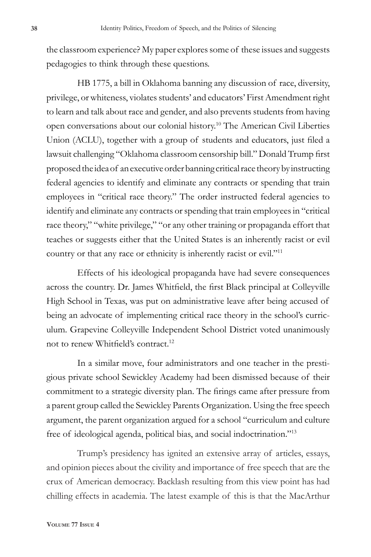the classroom experience? My paper explores some of these issues and suggests pedagogies to think through these questions.

HB 1775, a bill in Oklahoma banning any discussion of race, diversity, privilege, or whiteness, violates students' and educators' First Amendment right to learn and talk about race and gender, and also prevents students from having open conversations about our colonial history.10 The American Civil Liberties Union (ACLU), together with a group of students and educators, just filed a lawsuit challenging "Oklahoma classroom censorship bill." Donald Trump first proposed the idea of an executive order banning critical race theory by instructing federal agencies to identify and eliminate any contracts or spending that train employees in "critical race theory." The order instructed federal agencies to identify and eliminate any contracts or spending that train employees in "critical race theory," "white privilege," "or any other training or propaganda effort that teaches or suggests either that the United States is an inherently racist or evil country or that any race or ethnicity is inherently racist or evil."11

Effects of his ideological propaganda have had severe consequences across the country. Dr. James Whitfield, the first Black principal at Colleyville High School in Texas, was put on administrative leave after being accused of being an advocate of implementing critical race theory in the school's curriculum. Grapevine Colleyville Independent School District voted unanimously not to renew Whitfield's contract.<sup>12</sup>

In a similar move, four administrators and one teacher in the prestigious private school Sewickley Academy had been dismissed because of their commitment to a strategic diversity plan. The firings came after pressure from a parent group called the Sewickley Parents Organization. Using the free speech argument, the parent organization argued for a school "curriculum and culture free of ideological agenda, political bias, and social indoctrination."13

Trump's presidency has ignited an extensive array of articles, essays, and opinion pieces about the civility and importance of free speech that are the crux of American democracy. Backlash resulting from this view point has had chilling effects in academia. The latest example of this is that the MacArthur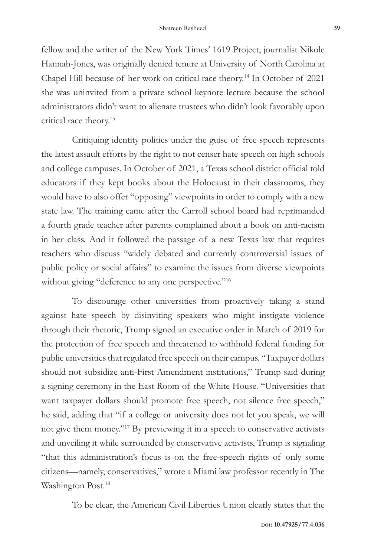fellow and the writer of the New York Times' 1619 Project, journalist Nikole Hannah-Jones, was originally denied tenure at University of North Carolina at Chapel Hill because of her work on critical race theory.14 In October of 2021 she was uninvited from a private school keynote lecture because the school administrators didn't want to alienate trustees who didn't look favorably upon critical race theory.15

Critiquing identity politics under the guise of free speech represents the latest assault efforts by the right to not censer hate speech on high schools and college campuses. In October of 2021, a Texas school district official told educators if they kept books about the Holocaust in their classrooms, they would have to also offer "opposing" viewpoints in order to comply with a new state law. The training came after the Carroll school board had reprimanded a fourth grade teacher after parents complained about a book on anti-racism in her class. And it followed the passage of a new Texas law that requires teachers who discuss "widely debated and currently controversial issues of public policy or social affairs" to examine the issues from diverse viewpoints without giving "deference to any one perspective."<sup>16</sup>

To discourage other universities from proactively taking a stand against hate speech by disinviting speakers who might instigate violence through their rhetoric, Trump signed an executive order in March of 2019 for the protection of free speech and threatened to withhold federal funding for public universities that regulated free speech on their campus. "Taxpayer dollars should not subsidize anti-First Amendment institutions," Trump said during a signing ceremony in the East Room of the White House. "Universities that want taxpayer dollars should promote free speech, not silence free speech," he said, adding that "if a college or university does not let you speak, we will not give them money."17 By previewing it in a speech to conservative activists and unveiling it while surrounded by conservative activists, Trump is signaling "that this administration's focus is on the free-speech rights of only some citizens—namely, conservatives," wrote a Miami law professor recently in The Washington Post.<sup>18</sup>

To be clear, the American Civil Liberties Union clearly states that the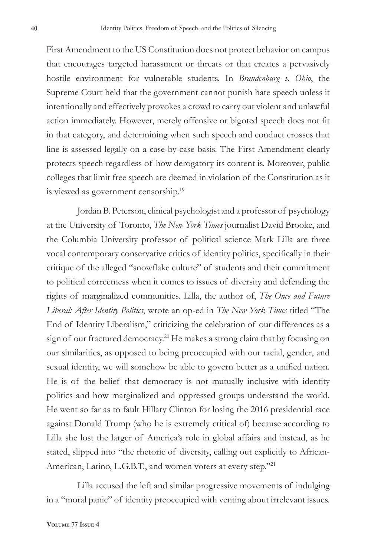First Amendment to the US Constitution does not protect behavior on campus that encourages targeted harassment or threats or that creates a pervasively hostile environment for vulnerable students. In *Brandenburg v. Ohio*, the Supreme Court held that the government cannot punish hate speech unless it intentionally and effectively provokes a crowd to carry out violent and unlawful action immediately. However, merely offensive or bigoted speech does not fit in that category, and determining when such speech and conduct crosses that line is assessed legally on a case-by-case basis. The First Amendment clearly protects speech regardless of how derogatory its content is. Moreover, public colleges that limit free speech are deemed in violation of the Constitution as it is viewed as government censorship.<sup>19</sup>

Jordan B. Peterson, clinical psychologist and a professor of psychology at the University of Toronto, *The New York Times* journalist David Brooke, and the Columbia University professor of political science Mark Lilla are three vocal contemporary conservative critics of identity politics, specifically in their critique of the alleged "snowflake culture" of students and their commitment to political correctness when it comes to issues of diversity and defending the rights of marginalized communities. Lilla, the author of, *The Once and Future Liberal: After Identity Politics*, wrote an op-ed in *The New York Times* titled "The End of Identity Liberalism," criticizing the celebration of our differences as a sign of our fractured democracy.<sup>20</sup> He makes a strong claim that by focusing on our similarities, as opposed to being preoccupied with our racial, gender, and sexual identity, we will somehow be able to govern better as a unified nation. He is of the belief that democracy is not mutually inclusive with identity politics and how marginalized and oppressed groups understand the world. He went so far as to fault Hillary Clinton for losing the 2016 presidential race against Donald Trump (who he is extremely critical of) because according to Lilla she lost the larger of America's role in global affairs and instead, as he stated, slipped into "the rhetoric of diversity, calling out explicitly to African-American, Latino, L.G.B.T., and women voters at every step."21

Lilla accused the left and similar progressive movements of indulging in a "moral panic" of identity preoccupied with venting about irrelevant issues.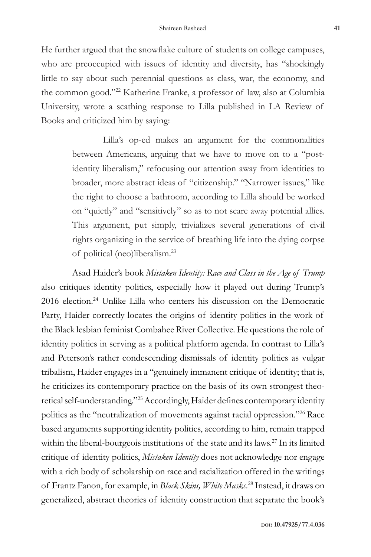He further argued that the snowflake culture of students on college campuses, who are preoccupied with issues of identity and diversity, has "shockingly little to say about such perennial questions as class, war, the economy, and the common good."22 Katherine Franke, a professor of law, also at Columbia University, wrote a scathing response to Lilla published in LA Review of Books and criticized him by saying:

> Lilla's op-ed makes an argument for the commonalities between Americans, arguing that we have to move on to a "postidentity liberalism," refocusing our attention away from identities to broader, more abstract ideas of "citizenship." "Narrower issues," like the right to choose a bathroom, according to Lilla should be worked on "quietly" and "sensitively" so as to not scare away potential allies. This argument, put simply, trivializes several generations of civil rights organizing in the service of breathing life into the dying corpse of political (neo)liberalism.23

Asad Haider's book *Mistaken Identity: Race and Class in the Age of Trump*  also critiques identity politics, especially how it played out during Trump's 2016 election.24 Unlike Lilla who centers his discussion on the Democratic Party, Haider correctly locates the origins of identity politics in the work of the Black lesbian feminist Combahee River Collective. He questions the role of identity politics in serving as a political platform agenda. In contrast to Lilla's and Peterson's rather condescending dismissals of identity politics as vulgar tribalism, Haider engages in a "genuinely immanent critique of identity; that is, he criticizes its contemporary practice on the basis of its own strongest theoretical self-understanding."25 Accordingly, Haider defines contemporary identity politics as the "neutralization of movements against racial oppression."26 Race based arguments supporting identity politics, according to him, remain trapped within the liberal-bourgeois institutions of the state and its laws.<sup>27</sup> In its limited critique of identity politics, *Mistaken Identity* does not acknowledge nor engage with a rich body of scholarship on race and racialization offered in the writings of Frantz Fanon, for example, in *Black Skins, White Masks*. 28 Instead, it draws on generalized, abstract theories of identity construction that separate the book's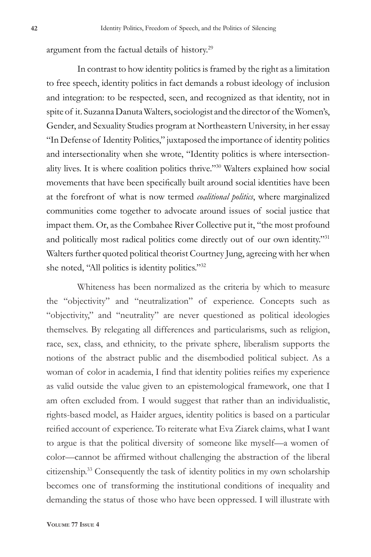argument from the factual details of history.29

In contrast to how identity politics is framed by the right as a limitation to free speech, identity politics in fact demands a robust ideology of inclusion and integration: to be respected, seen, and recognized as that identity, not in spite of it. Suzanna Danuta Walters, sociologist and the director of the Women's, Gender, and Sexuality Studies program at Northeastern University, in her essay "In Defense of Identity Politics," juxtaposed the importance of identity politics and intersectionality when she wrote, "Identity politics is where intersectionality lives. It is where coalition politics thrive."30 Walters explained how social movements that have been specifically built around social identities have been at the forefront of what is now termed *coalitional politics*, where marginalized communities come together to advocate around issues of social justice that impact them. Or, as the Combahee River Collective put it, "the most profound and politically most radical politics come directly out of our own identity."31 Walters further quoted political theorist Courtney Jung, agreeing with her when she noted, "All politics is identity politics."32

Whiteness has been normalized as the criteria by which to measure the "objectivity" and "neutralization" of experience. Concepts such as "objectivity," and "neutrality" are never questioned as political ideologies themselves. By relegating all differences and particularisms, such as religion, race, sex, class, and ethnicity, to the private sphere, liberalism supports the notions of the abstract public and the disembodied political subject. As a woman of color in academia, I find that identity polities reifies my experience as valid outside the value given to an epistemological framework, one that I am often excluded from. I would suggest that rather than an individualistic, rights-based model, as Haider argues, identity politics is based on a particular reified account of experience. To reiterate what Eva Ziarek claims, what I want to argue is that the political diversity of someone like myself—a women of color—cannot be affirmed without challenging the abstraction of the liberal citizenship.33 Consequently the task of identity politics in my own scholarship becomes one of transforming the institutional conditions of inequality and demanding the status of those who have been oppressed. I will illustrate with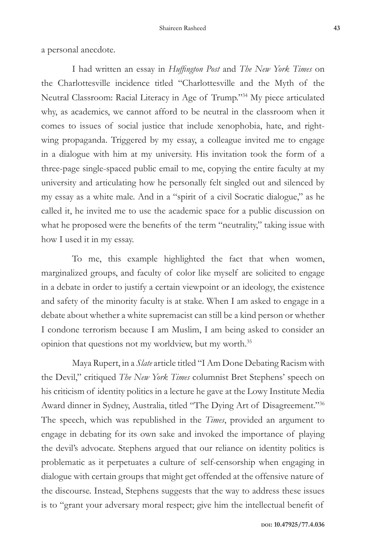a personal anecdote.

I had written an essay in *Huffington Post* and *The New York Times* on the Charlottesville incidence titled "Charlottesville and the Myth of the Neutral Classroom: Racial Literacy in Age of Trump."34 My piece articulated why, as academics, we cannot afford to be neutral in the classroom when it comes to issues of social justice that include xenophobia, hate, and rightwing propaganda. Triggered by my essay, a colleague invited me to engage in a dialogue with him at my university. His invitation took the form of a three-page single-spaced public email to me, copying the entire faculty at my university and articulating how he personally felt singled out and silenced by my essay as a white male. And in a "spirit of a civil Socratic dialogue," as he called it, he invited me to use the academic space for a public discussion on what he proposed were the benefits of the term "neutrality," taking issue with how I used it in my essay.

To me, this example highlighted the fact that when women, marginalized groups, and faculty of color like myself are solicited to engage in a debate in order to justify a certain viewpoint or an ideology, the existence and safety of the minority faculty is at stake. When I am asked to engage in a debate about whether a white supremacist can still be a kind person or whether I condone terrorism because I am Muslim, I am being asked to consider an opinion that questions not my worldview, but my worth.35

Maya Rupert, in a *Slate* article titled "I Am Done Debating Racism with the Devil," critiqued *The New York Times* columnist Bret Stephens' speech on his criticism of identity politics in a lecture he gave at the Lowy Institute Media Award dinner in Sydney, Australia, titled "The Dying Art of Disagreement."36 The speech, which was republished in the *Times*, provided an argument to engage in debating for its own sake and invoked the importance of playing the devil's advocate. Stephens argued that our reliance on identity politics is problematic as it perpetuates a culture of self-censorship when engaging in dialogue with certain groups that might get offended at the offensive nature of the discourse. Instead, Stephens suggests that the way to address these issues is to "grant your adversary moral respect; give him the intellectual benefit of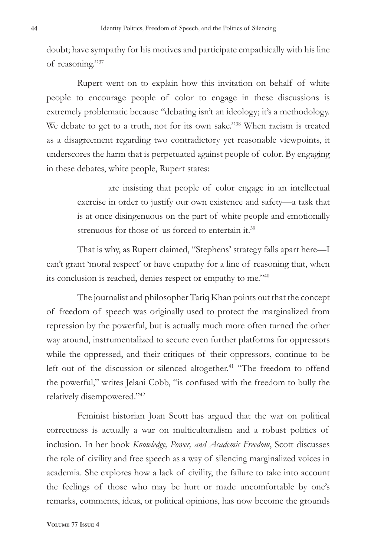doubt; have sympathy for his motives and participate empathically with his line of reasoning."37

Rupert went on to explain how this invitation on behalf of white people to encourage people of color to engage in these discussions is extremely problematic because "debating isn't an ideology; it's a methodology. We debate to get to a truth, not for its own sake."<sup>38</sup> When racism is treated as a disagreement regarding two contradictory yet reasonable viewpoints, it underscores the harm that is perpetuated against people of color. By engaging in these debates, white people, Rupert states:

> are insisting that people of color engage in an intellectual exercise in order to justify our own existence and safety—a task that is at once disingenuous on the part of white people and emotionally strenuous for those of us forced to entertain it.<sup>39</sup>

That is why, as Rupert claimed, "Stephens' strategy falls apart here—I can't grant 'moral respect' or have empathy for a line of reasoning that, when its conclusion is reached, denies respect or empathy to me."40

The journalist and philosopher Tariq Khan points out that the concept of freedom of speech was originally used to protect the marginalized from repression by the powerful, but is actually much more often turned the other way around, instrumentalized to secure even further platforms for oppressors while the oppressed, and their critiques of their oppressors, continue to be left out of the discussion or silenced altogether.<sup>41</sup> "The freedom to offend the powerful," writes Jelani Cobb, "is confused with the freedom to bully the relatively disempowered."42

Feminist historian Joan Scott has argued that the war on political correctness is actually a war on multiculturalism and a robust politics of inclusion. In her book *Knowledge, Power, and Academic Freedom*, Scott discusses the role of civility and free speech as a way of silencing marginalized voices in academia. She explores how a lack of civility, the failure to take into account the feelings of those who may be hurt or made uncomfortable by one's remarks, comments, ideas, or political opinions, has now become the grounds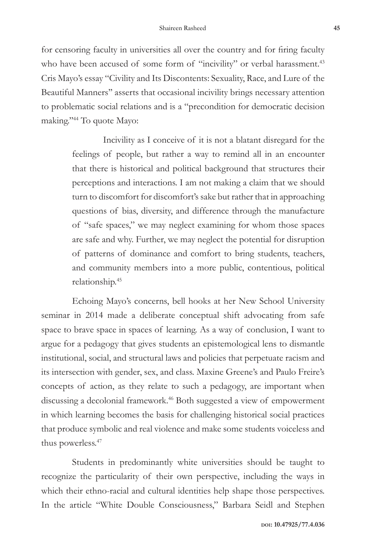for censoring faculty in universities all over the country and for firing faculty who have been accused of some form of "incivility" or verbal harassment.<sup>43</sup> Cris Mayo's essay "Civility and Its Discontents: Sexuality, Race, and Lure of the Beautiful Manners'' asserts that occasional incivility brings necessary attention to problematic social relations and is a "precondition for democratic decision making."<sup>44</sup> To quote Mayo:

> Incivility as I conceive of it is not a blatant disregard for the feelings of people, but rather a way to remind all in an encounter that there is historical and political background that structures their perceptions and interactions. I am not making a claim that we should turn to discomfort for discomfort's sake but rather that in approaching questions of bias, diversity, and difference through the manufacture of "safe spaces," we may neglect examining for whom those spaces are safe and why. Further, we may neglect the potential for disruption of patterns of dominance and comfort to bring students, teachers, and community members into a more public, contentious, political relationship.45

Echoing Mayo's concerns, bell hooks at her New School University seminar in 2014 made a deliberate conceptual shift advocating from safe space to brave space in spaces of learning. As a way of conclusion, I want to argue for a pedagogy that gives students an epistemological lens to dismantle institutional, social, and structural laws and policies that perpetuate racism and its intersection with gender, sex, and class. Maxine Greene's and Paulo Freire's concepts of action, as they relate to such a pedagogy, are important when discussing a decolonial framework.<sup>46</sup> Both suggested a view of empowerment in which learning becomes the basis for challenging historical social practices that produce symbolic and real violence and make some students voiceless and thus powerless.<sup>47</sup>

Students in predominantly white universities should be taught to recognize the particularity of their own perspective, including the ways in which their ethno-racial and cultural identities help shape those perspectives. In the article "White Double Consciousness," Barbara Seidl and Stephen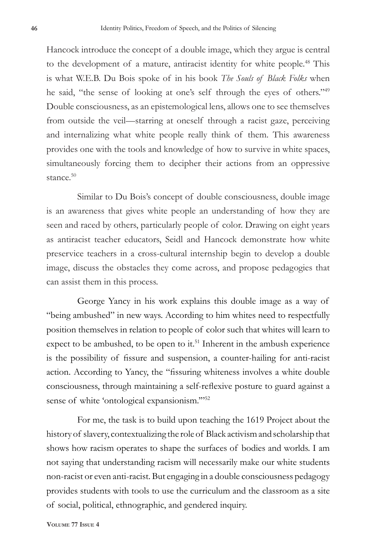Hancock introduce the concept of a double image, which they argue is central to the development of a mature, antiracist identity for white people.<sup>48</sup> This is what W.E.B. Du Bois spoke of in his book *The Souls of Black Folks* when he said, "the sense of looking at one's self through the eyes of others."49 Double consciousness, as an epistemological lens, allows one to see themselves from outside the veil—starring at oneself through a racist gaze, perceiving and internalizing what white people really think of them. This awareness provides one with the tools and knowledge of how to survive in white spaces, simultaneously forcing them to decipher their actions from an oppressive stance.<sup>50</sup>

Similar to Du Bois's concept of double consciousness, double image is an awareness that gives white people an understanding of how they are seen and raced by others, particularly people of color. Drawing on eight years as antiracist teacher educators, Seidl and Hancock demonstrate how white preservice teachers in a cross-cultural internship begin to develop a double image, discuss the obstacles they come across, and propose pedagogies that can assist them in this process.

George Yancy in his work explains this double image as a way of "being ambushed" in new ways. According to him whites need to respectfully position themselves in relation to people of color such that whites will learn to expect to be ambushed, to be open to it.<sup>51</sup> Inherent in the ambush experience is the possibility of fissure and suspension, a counter-hailing for anti-racist action. According to Yancy, the "fissuring whiteness involves a white double consciousness, through maintaining a self-reflexive posture to guard against a sense of white 'ontological expansionism."<sup>52</sup>

For me, the task is to build upon teaching the 1619 Project about the history of slavery, contextualizing the role of Black activism and scholarship that shows how racism operates to shape the surfaces of bodies and worlds. I am not saying that understanding racism will necessarily make our white students non-racist or even anti-racist. But engaging in a double consciousness pedagogy provides students with tools to use the curriculum and the classroom as a site of social, political, ethnographic, and gendered inquiry.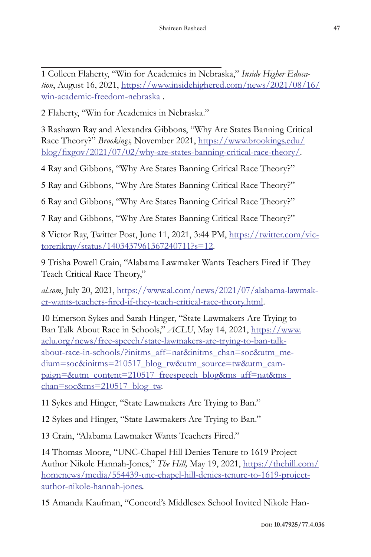1 Colleen Flaherty, "Win for Academics in Nebraska," *Inside Higher Education*, August 16, 2021, https://www.insidehighered.com/news/2021/08/16/ win-academic-freedom-nebraska .

2 Flaherty, "Win for Academics in Nebraska."

3 Rashawn Ray and Alexandra Gibbons, "Why Are States Banning Critical Race Theory?" *Brookings,* November 2021, https://www.brookings.edu/ blog/fixgov/2021/07/02/why-are-states-banning-critical-race-theory/.

4 Ray and Gibbons, "Why Are States Banning Critical Race Theory?"

5 Ray and Gibbons, "Why Are States Banning Critical Race Theory?"

6 Ray and Gibbons, "Why Are States Banning Critical Race Theory?"

7 Ray and Gibbons, "Why Are States Banning Critical Race Theory?"

8 Victor Ray, Twitter Post, June 11, 2021, 3:44 PM, https://twitter.com/victorerikray/status/1403437961367240711?s=12.

9 Trisha Powell Crain, "Alabama Lawmaker Wants Teachers Fired if They Teach Critical Race Theory,"

*al.com*, July 20, 2021, https://www.al.com/news/2021/07/alabama-lawmaker-wants-teachers-fired-if-they-teach-critical-race-theory.html.

10 Emerson Sykes and Sarah Hinger, "State Lawmakers Are Trying to Ban Talk About Race in Schools," *ACLU*, May 14, 2021, https://www. aclu.org/news/free-speech/state-lawmakers-are-trying-to-ban-talkabout-race-in-schools/?initms\_aff=nat&initms\_chan=soc&utm\_medium=soc&initms=210517\_blog\_tw&utm\_source=tw&utm\_campaign=&utm\_content=210517\_freespeech\_blog&ms\_aff=nat&ms\_ chan=soc&ms=210517\_blog\_tw.

11 Sykes and Hinger, "State Lawmakers Are Trying to Ban."

12 Sykes and Hinger, "State Lawmakers Are Trying to Ban."

13 Crain, "Alabama Lawmaker Wants Teachers Fired."

14 Thomas Moore, "UNC-Chapel Hill Denies Tenure to 1619 Project Author Nikole Hannah-Jones," *The Hill,* May 19, 2021, https://thehill.com/ homenews/media/554439-unc-chapel-hill-denies-tenure-to-1619-projectauthor-nikole-hannah-jones.

15 Amanda Kaufman, "Concord's Middlesex School Invited Nikole Han-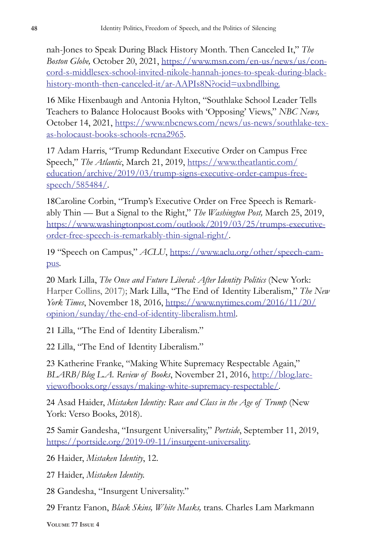nah-Jones to Speak During Black History Month. Then Canceled It," *The Boston Globe,* October 20, 2021, https://www.msn.com/en-us/news/us/concord-s-middlesex-school-invited-nikole-hannah-jones-to-speak-during-blackhistory-month-then-canceled-it/ar-AAPIs8N?ocid=uxbndlbing.

16 Mike Hixenbaugh and Antonia Hylton, "Southlake School Leader Tells Teachers to Balance Holocaust Books with 'Opposing' Views," *NBC News,*  October 14, 2021, https://www.nbcnews.com/news/us-news/southlake-texas-holocaust-books-schools-rcna2965.

17 Adam Harris, "Trump Redundant Executive Order on Campus Free Speech," *The Atlantic*, March 21, 2019, https://www.theatlantic.com/ education/archive/2019/03/trump-signs-executive-order-campus-freespeech/585484/.

18Caroline Corbin, "Trump's Executive Order on Free Speech is Remarkably Thin — But a Signal to the Right," *The Washington Post,* March 25, 2019, https://www.washingtonpost.com/outlook/2019/03/25/trumps-executiveorder-free-speech-is-remarkably-thin-signal-right/.

19 "Speech on Campus," *ACLU*, https://www.aclu.org/other/speech-campus.

20 Mark Lilla, *The Once and Future Liberal: After Identity Politics* (New York: Harper Collins, 2017); Mark Lilla, "The End of Identity Liberalism," *The New York Times*, November 18, 2016, https://www.nytimes.com/2016/11/20/ opinion/sunday/the-end-of-identity-liberalism.html.

21 Lilla, "The End of Identity Liberalism."

22 Lilla, "The End of Identity Liberalism."

23 Katherine Franke, "Making White Supremacy Respectable Again," *BLARB/Blog L.A. Review of Books*, November 21, 2016, http://blog.lareviewofbooks.org/essays/making-white-supremacy-respectable/.

24 Asad Haider, *Mistaken Identity: Race and Class in the Age of Trump* (New York: Verso Books, 2018).

25 Samir Gandesha, "Insurgent Universality," *Portside*, September 11, 2019, https://portside.org/2019-09-11/insurgent-universality.

26 Haider, *Mistaken Identity*, 12.

27 Haider, *Mistaken Identity.*

28 Gandesha, "Insurgent Universality."

29 Frantz Fanon, *Black Skins, White Masks,* trans. Charles Lam Markmann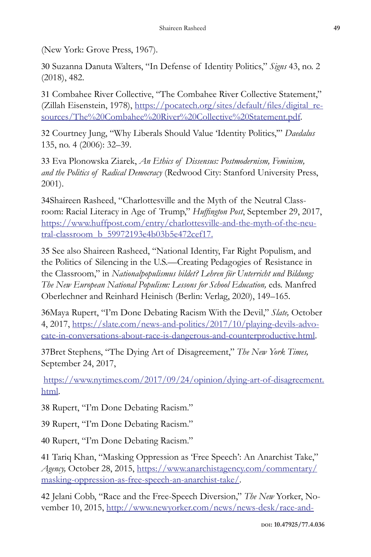(New York: Grove Press, 1967).

30 Suzanna Danuta Walters, "In Defense of Identity Politics," *Signs* 43, no. 2 (2018), 482.

31 Combahee River Collective, "The Combahee River Collective Statement," (Zillah Eisenstein, 1978), https://pocatech.org/sites/default/files/digital\_resources/The%20Combahee%20River%20Collective%20Statement.pdf.

32 Courtney Jung, "Why Liberals Should Value 'Identity Politics,'" *Daedalus* 135, no. 4 (2006): 32–39.

33 Eva Plonowska Ziarek, *An Ethics of Dissensus: Postmodernism, Feminism, and the Politics of Radical Democracy* (Redwood City: Stanford University Press, 2001).

34Shaireen Rasheed, "Charlottesville and the Myth of the Neutral Classroom: Racial Literacy in Age of Trump," *Huffington Post*, September 29, 2017, https://www.huffpost.com/entry/charlottesville-and-the-myth-of-the-neutral-classroom\_b\_59972193e4b03b5e472cef17.

35 See also Shaireen Rasheed, "National Identity, Far Right Populism, and the Politics of Silencing in the U.S.—Creating Pedagogies of Resistance in the Classroom," in *Nationalpopulismus bildet? Lehren für Unterricht und Bildung; The New European National Populism: Lessons for School Education, eds. Manfred* Oberlechner and Reinhard Heinisch (Berlin: Verlag, 2020), 149–165.

36Maya Rupert, "I'm Done Debating Racism With the Devil," *Slate,* October 4, 2017, https://slate.com/news-and-politics/2017/10/playing-devils-advocate-in-conversations-about-race-is-dangerous-and-counterproductive.html.

37Bret Stephens, "The Dying Art of Disagreement," *The New York Times,*  September 24, 2017,

https://www.nytimes.com/2017/09/24/opinion/dying-art-of-disagreement. html.

38 Rupert, "I'm Done Debating Racism."

39 Rupert, "I'm Done Debating Racism."

40 Rupert, "I'm Done Debating Racism."

41 Tariq Khan, "Masking Oppression as 'Free Speech': An Anarchist Take," *Agency,* October 28, 2015, https://www.anarchistagency.com/commentary/ masking-oppression-as-free-speech-an-anarchist-take/.

42 Jelani Cobb, "Race and the Free-Speech Diversion," *The New* Yorker, November 10, 2015, http://www.newyorker.com/news/news-desk/race-and-